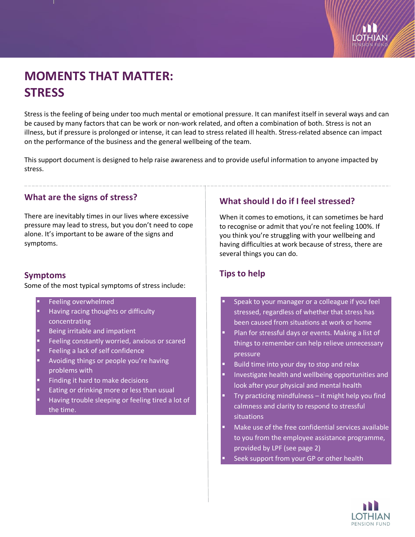# **MOMENTS THAT MATTER: STRESS**

Stress is the feeling of being under too much mental or emotional pressure. It can manifest itself in several ways and can be caused by many factors that can be work or non-work related, and often a combination of both. Stress is not an illness, but if pressure is prolonged or intense, it can lead to stress related ill health. Stress-related absence can impact on the performance of the business and the general wellbeing of the team.

This support document is designed to help raise awareness and to provide useful information to anyone impacted by stress.

### **What are the signs of stress?**

There are inevitably times in our lives where excessive pressure may lead to stress, but you don't need to cope alone. It's important to be aware of the signs and symptoms.

### **Symptoms**

Some of the most typical symptoms of stress include:

- Feeling overwhelmed Having racing thoughts or difficulty
- concentrating
- Being irritable and impatient
- Feeling constantly worried, anxious or scared
- Feeling a lack of self confidence
- Avoiding things or people you're having problems with
- Finding it hard to make decisions
- Eating or drinking more or less than usual
- Having trouble sleeping or feeling tired a lot of the time.

# **What should I do if I feel stressed?**

When it comes to emotions, it can sometimes be hard to recognise or admit that you're not feeling 100%. If you think you're struggling with your wellbeing and having difficulties at work because of stress, there are several things you can do.

# **Tips to help**

- Speak to your manager or a colleague if you feel stressed, regardless of whether that stress has been caused from situations at work or home
- Plan for stressful days or events. Making a list of things to remember can help relieve unnecessary pressure
- Build time into your day to stop and relax
- Investigate health and wellbeing opportunities and look after your physical and mental health
- Try practicing mindfulness it might help you find calmness and clarity to respond to stressful situations
- Make use of the free confidential services available to you from the employee assistance programme, provided by LPF (see page 2)

Seek support from your GP or other health